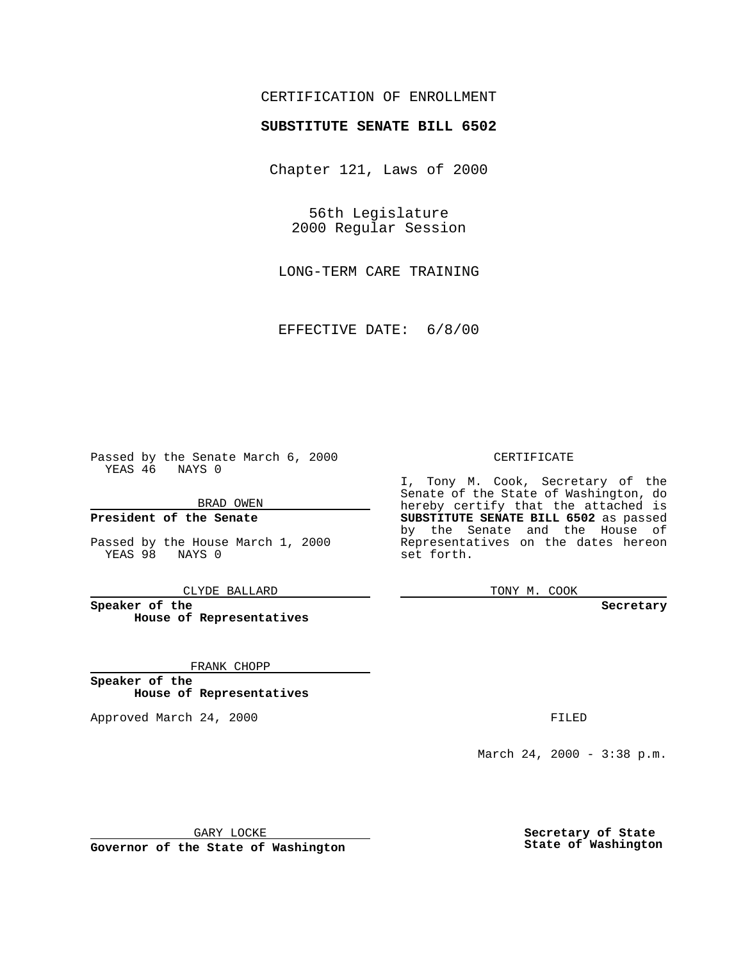## CERTIFICATION OF ENROLLMENT

# **SUBSTITUTE SENATE BILL 6502**

Chapter 121, Laws of 2000

56th Legislature 2000 Regular Session

LONG-TERM CARE TRAINING

EFFECTIVE DATE: 6/8/00

Passed by the Senate March 6, 2000 YEAS 46 NAYS 0

BRAD OWEN

**President of the Senate**

Passed by the House March 1, 2000 YEAS 98 NAYS 0

CLYDE BALLARD

**Speaker of the House of Representatives**

FRANK CHOPP

**Speaker of the House of Representatives**

Approved March 24, 2000 FILED

#### CERTIFICATE

I, Tony M. Cook, Secretary of the Senate of the State of Washington, do hereby certify that the attached is **SUBSTITUTE SENATE BILL 6502** as passed by the Senate and the House of Representatives on the dates hereon set forth.

TONY M. COOK

**Secretary**

March 24, 2000 - 3:38 p.m.

GARY LOCKE

**Governor of the State of Washington**

**Secretary of State State of Washington**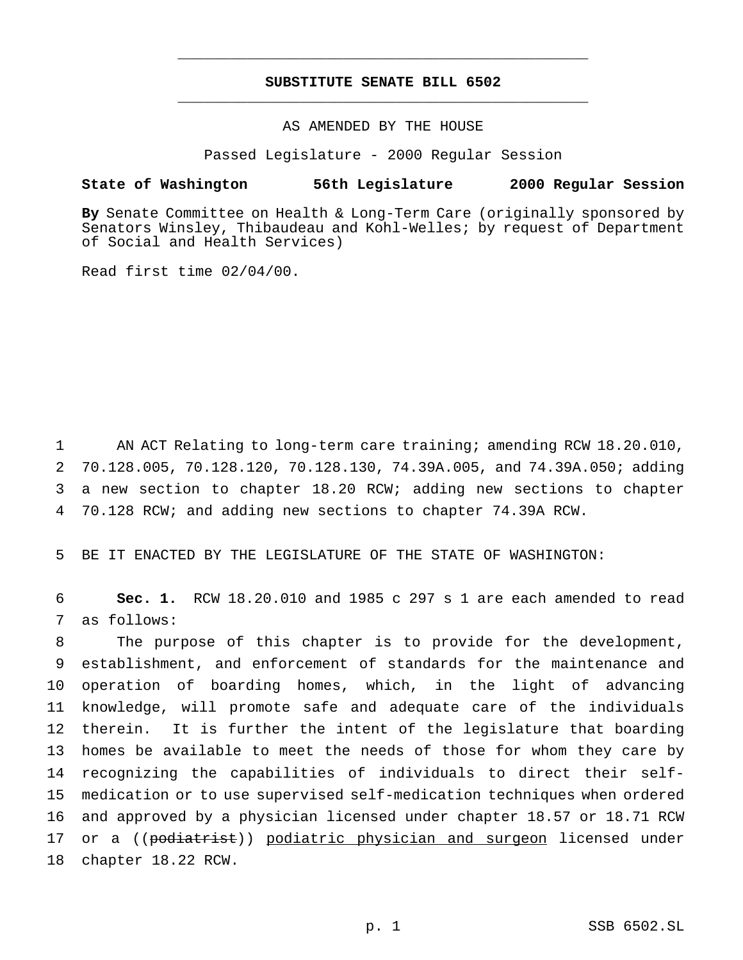## **SUBSTITUTE SENATE BILL 6502** \_\_\_\_\_\_\_\_\_\_\_\_\_\_\_\_\_\_\_\_\_\_\_\_\_\_\_\_\_\_\_\_\_\_\_\_\_\_\_\_\_\_\_\_\_\_\_

\_\_\_\_\_\_\_\_\_\_\_\_\_\_\_\_\_\_\_\_\_\_\_\_\_\_\_\_\_\_\_\_\_\_\_\_\_\_\_\_\_\_\_\_\_\_\_

### AS AMENDED BY THE HOUSE

Passed Legislature - 2000 Regular Session

#### **State of Washington 56th Legislature 2000 Regular Session**

**By** Senate Committee on Health & Long-Term Care (originally sponsored by Senators Winsley, Thibaudeau and Kohl-Welles; by request of Department of Social and Health Services)

Read first time 02/04/00.

 AN ACT Relating to long-term care training; amending RCW 18.20.010, 70.128.005, 70.128.120, 70.128.130, 74.39A.005, and 74.39A.050; adding a new section to chapter 18.20 RCW; adding new sections to chapter 70.128 RCW; and adding new sections to chapter 74.39A RCW.

5 BE IT ENACTED BY THE LEGISLATURE OF THE STATE OF WASHINGTON:

6 **Sec. 1.** RCW 18.20.010 and 1985 c 297 s 1 are each amended to read 7 as follows:

 The purpose of this chapter is to provide for the development, establishment, and enforcement of standards for the maintenance and operation of boarding homes, which, in the light of advancing knowledge, will promote safe and adequate care of the individuals therein. It is further the intent of the legislature that boarding homes be available to meet the needs of those for whom they care by recognizing the capabilities of individuals to direct their self- medication or to use supervised self-medication techniques when ordered and approved by a physician licensed under chapter 18.57 or 18.71 RCW 17 or a ((podiatrist)) podiatric physician and surgeon licensed under chapter 18.22 RCW.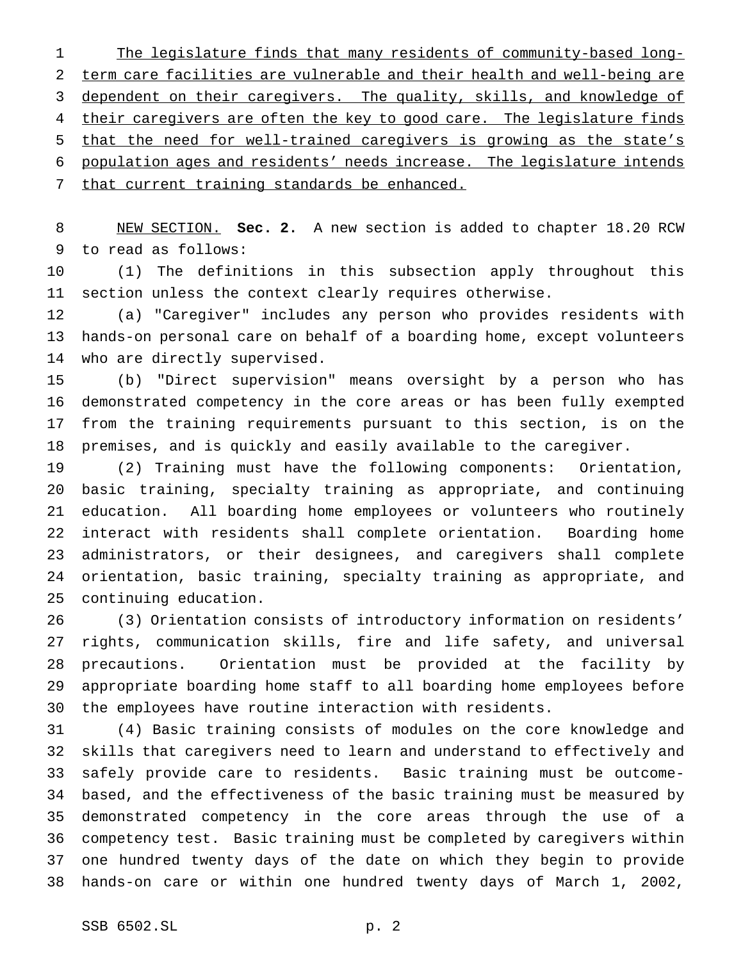The legislature finds that many residents of community-based long- term care facilities are vulnerable and their health and well-being are dependent on their caregivers. The quality, skills, and knowledge of 4 their caregivers are often the key to good care. The legislature finds that the need for well-trained caregivers is growing as the state's population ages and residents' needs increase. The legislature intends that current training standards be enhanced.

 NEW SECTION. **Sec. 2.** A new section is added to chapter 18.20 RCW to read as follows:

 (1) The definitions in this subsection apply throughout this section unless the context clearly requires otherwise.

 (a) "Caregiver" includes any person who provides residents with hands-on personal care on behalf of a boarding home, except volunteers who are directly supervised.

 (b) "Direct supervision" means oversight by a person who has demonstrated competency in the core areas or has been fully exempted from the training requirements pursuant to this section, is on the premises, and is quickly and easily available to the caregiver.

 (2) Training must have the following components: Orientation, basic training, specialty training as appropriate, and continuing education. All boarding home employees or volunteers who routinely interact with residents shall complete orientation. Boarding home administrators, or their designees, and caregivers shall complete orientation, basic training, specialty training as appropriate, and continuing education.

 (3) Orientation consists of introductory information on residents' rights, communication skills, fire and life safety, and universal precautions. Orientation must be provided at the facility by appropriate boarding home staff to all boarding home employees before the employees have routine interaction with residents.

 (4) Basic training consists of modules on the core knowledge and skills that caregivers need to learn and understand to effectively and safely provide care to residents. Basic training must be outcome- based, and the effectiveness of the basic training must be measured by demonstrated competency in the core areas through the use of a competency test. Basic training must be completed by caregivers within one hundred twenty days of the date on which they begin to provide hands-on care or within one hundred twenty days of March 1, 2002,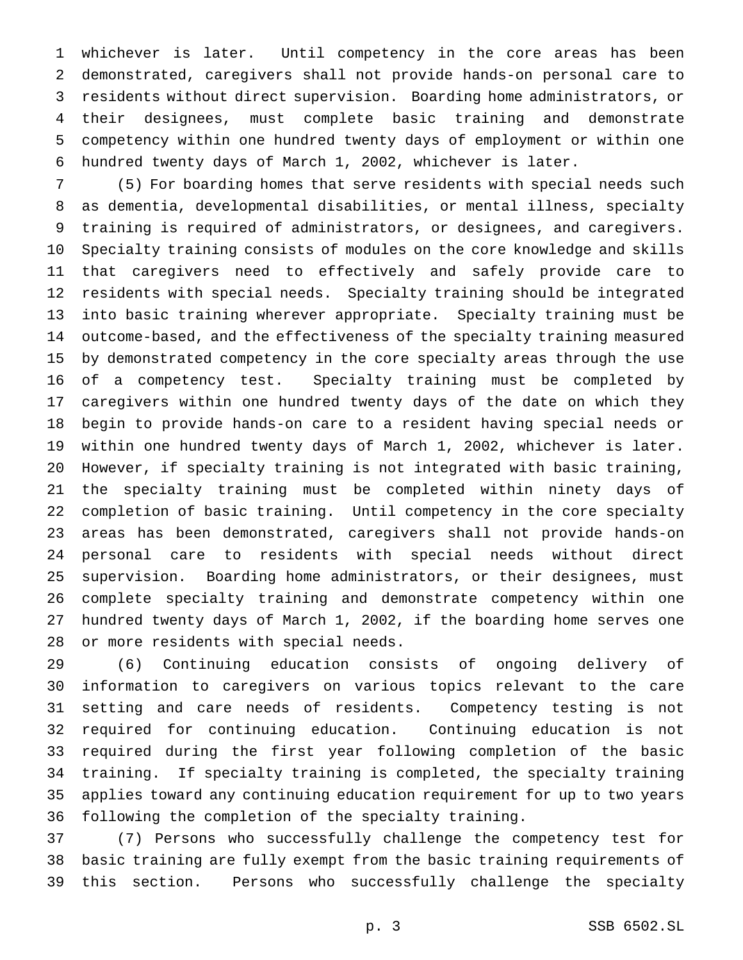whichever is later. Until competency in the core areas has been demonstrated, caregivers shall not provide hands-on personal care to residents without direct supervision. Boarding home administrators, or their designees, must complete basic training and demonstrate competency within one hundred twenty days of employment or within one hundred twenty days of March 1, 2002, whichever is later.

 (5) For boarding homes that serve residents with special needs such as dementia, developmental disabilities, or mental illness, specialty training is required of administrators, or designees, and caregivers. Specialty training consists of modules on the core knowledge and skills that caregivers need to effectively and safely provide care to residents with special needs. Specialty training should be integrated into basic training wherever appropriate. Specialty training must be outcome-based, and the effectiveness of the specialty training measured by demonstrated competency in the core specialty areas through the use of a competency test. Specialty training must be completed by caregivers within one hundred twenty days of the date on which they begin to provide hands-on care to a resident having special needs or within one hundred twenty days of March 1, 2002, whichever is later. However, if specialty training is not integrated with basic training, the specialty training must be completed within ninety days of completion of basic training. Until competency in the core specialty areas has been demonstrated, caregivers shall not provide hands-on personal care to residents with special needs without direct supervision. Boarding home administrators, or their designees, must complete specialty training and demonstrate competency within one hundred twenty days of March 1, 2002, if the boarding home serves one or more residents with special needs.

 (6) Continuing education consists of ongoing delivery of information to caregivers on various topics relevant to the care setting and care needs of residents. Competency testing is not required for continuing education. Continuing education is not required during the first year following completion of the basic training. If specialty training is completed, the specialty training applies toward any continuing education requirement for up to two years following the completion of the specialty training.

 (7) Persons who successfully challenge the competency test for basic training are fully exempt from the basic training requirements of this section. Persons who successfully challenge the specialty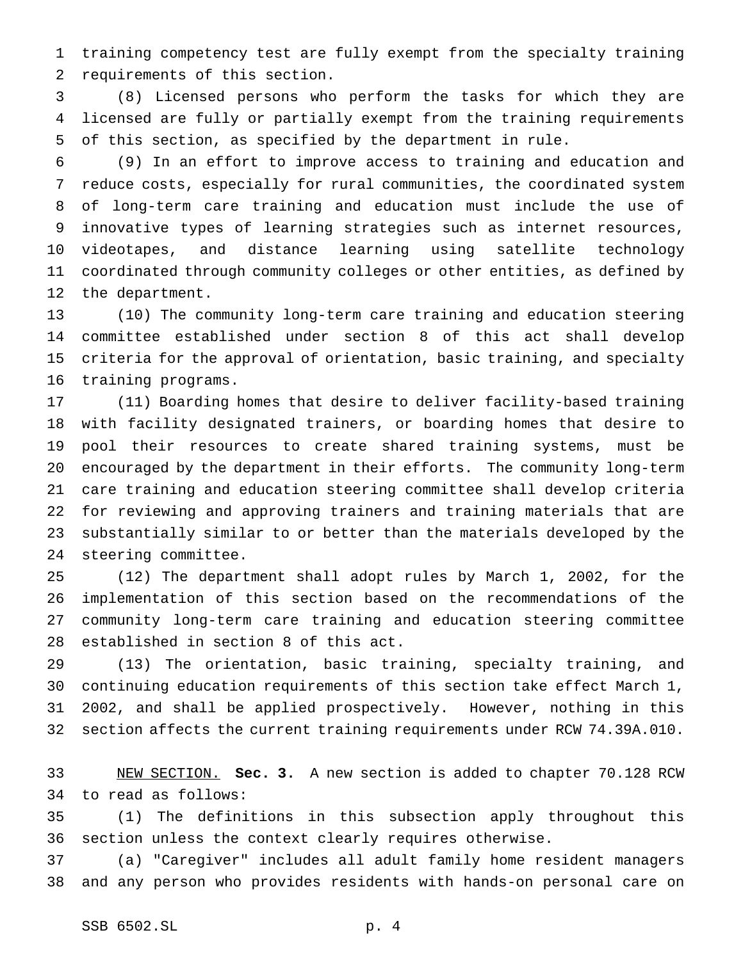training competency test are fully exempt from the specialty training requirements of this section.

 (8) Licensed persons who perform the tasks for which they are licensed are fully or partially exempt from the training requirements of this section, as specified by the department in rule.

 (9) In an effort to improve access to training and education and reduce costs, especially for rural communities, the coordinated system of long-term care training and education must include the use of innovative types of learning strategies such as internet resources, videotapes, and distance learning using satellite technology coordinated through community colleges or other entities, as defined by the department.

 (10) The community long-term care training and education steering committee established under section 8 of this act shall develop criteria for the approval of orientation, basic training, and specialty training programs.

 (11) Boarding homes that desire to deliver facility-based training with facility designated trainers, or boarding homes that desire to pool their resources to create shared training systems, must be encouraged by the department in their efforts. The community long-term care training and education steering committee shall develop criteria for reviewing and approving trainers and training materials that are substantially similar to or better than the materials developed by the steering committee.

 (12) The department shall adopt rules by March 1, 2002, for the implementation of this section based on the recommendations of the community long-term care training and education steering committee established in section 8 of this act.

 (13) The orientation, basic training, specialty training, and continuing education requirements of this section take effect March 1, 2002, and shall be applied prospectively. However, nothing in this section affects the current training requirements under RCW 74.39A.010.

 NEW SECTION. **Sec. 3.** A new section is added to chapter 70.128 RCW to read as follows:

 (1) The definitions in this subsection apply throughout this section unless the context clearly requires otherwise.

 (a) "Caregiver" includes all adult family home resident managers and any person who provides residents with hands-on personal care on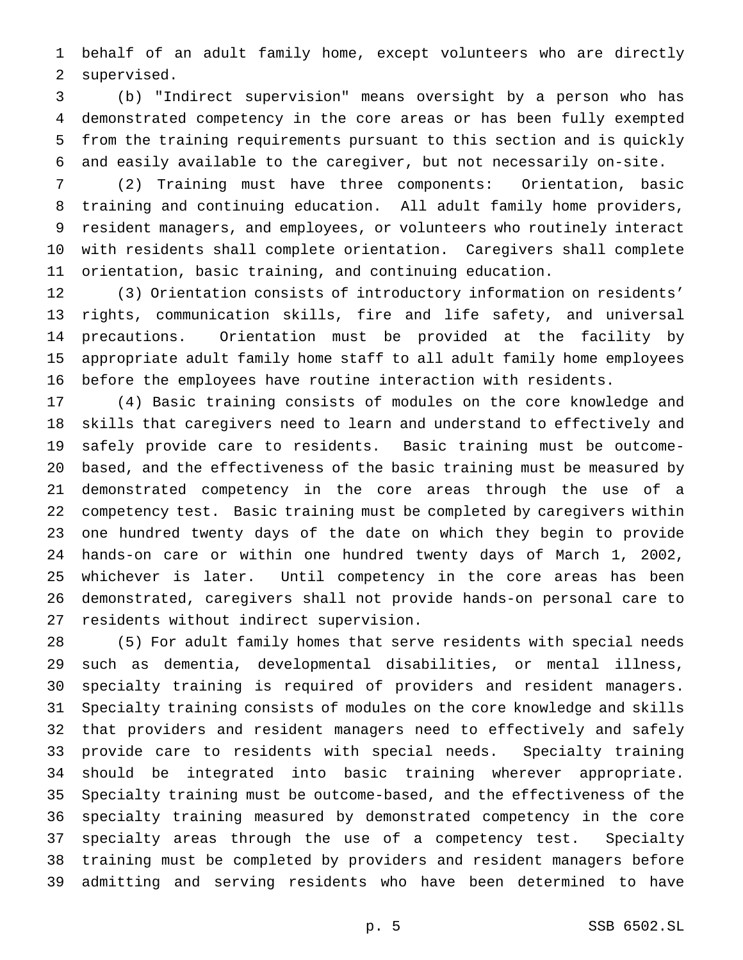behalf of an adult family home, except volunteers who are directly supervised.

 (b) "Indirect supervision" means oversight by a person who has demonstrated competency in the core areas or has been fully exempted from the training requirements pursuant to this section and is quickly and easily available to the caregiver, but not necessarily on-site.

 (2) Training must have three components: Orientation, basic training and continuing education. All adult family home providers, resident managers, and employees, or volunteers who routinely interact with residents shall complete orientation. Caregivers shall complete orientation, basic training, and continuing education.

 (3) Orientation consists of introductory information on residents' rights, communication skills, fire and life safety, and universal precautions. Orientation must be provided at the facility by appropriate adult family home staff to all adult family home employees before the employees have routine interaction with residents.

 (4) Basic training consists of modules on the core knowledge and skills that caregivers need to learn and understand to effectively and safely provide care to residents. Basic training must be outcome- based, and the effectiveness of the basic training must be measured by demonstrated competency in the core areas through the use of a competency test. Basic training must be completed by caregivers within one hundred twenty days of the date on which they begin to provide hands-on care or within one hundred twenty days of March 1, 2002, whichever is later. Until competency in the core areas has been demonstrated, caregivers shall not provide hands-on personal care to residents without indirect supervision.

 (5) For adult family homes that serve residents with special needs such as dementia, developmental disabilities, or mental illness, specialty training is required of providers and resident managers. Specialty training consists of modules on the core knowledge and skills that providers and resident managers need to effectively and safely provide care to residents with special needs. Specialty training should be integrated into basic training wherever appropriate. Specialty training must be outcome-based, and the effectiveness of the specialty training measured by demonstrated competency in the core specialty areas through the use of a competency test. Specialty training must be completed by providers and resident managers before admitting and serving residents who have been determined to have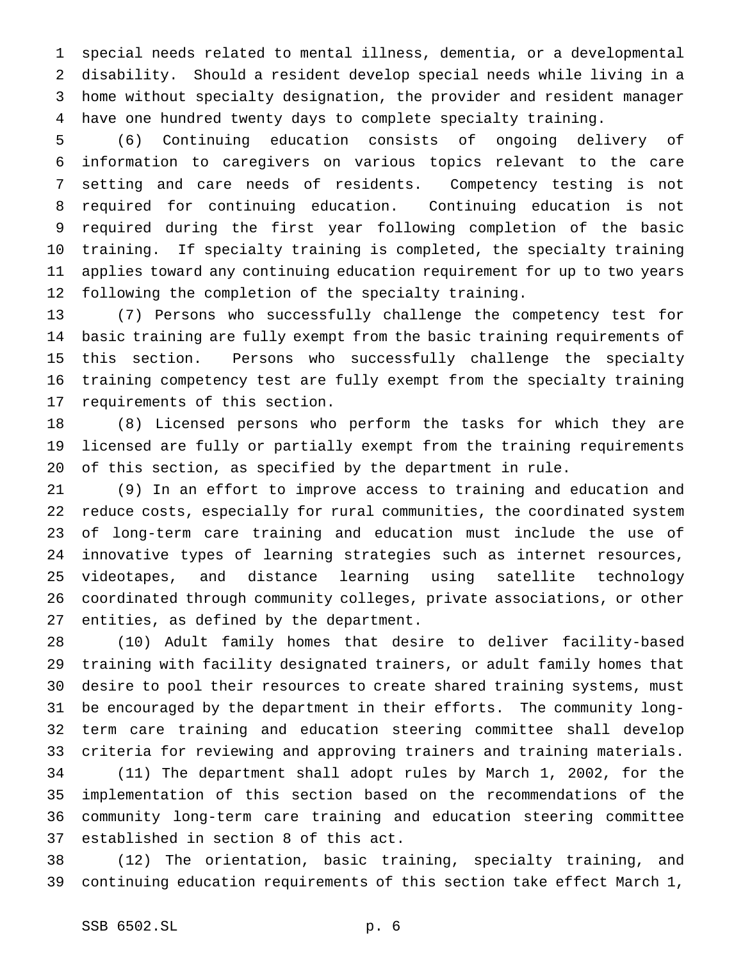special needs related to mental illness, dementia, or a developmental disability. Should a resident develop special needs while living in a home without specialty designation, the provider and resident manager have one hundred twenty days to complete specialty training.

 (6) Continuing education consists of ongoing delivery of information to caregivers on various topics relevant to the care setting and care needs of residents. Competency testing is not required for continuing education. Continuing education is not required during the first year following completion of the basic training. If specialty training is completed, the specialty training applies toward any continuing education requirement for up to two years following the completion of the specialty training.

 (7) Persons who successfully challenge the competency test for basic training are fully exempt from the basic training requirements of this section. Persons who successfully challenge the specialty training competency test are fully exempt from the specialty training requirements of this section.

 (8) Licensed persons who perform the tasks for which they are licensed are fully or partially exempt from the training requirements of this section, as specified by the department in rule.

 (9) In an effort to improve access to training and education and reduce costs, especially for rural communities, the coordinated system of long-term care training and education must include the use of innovative types of learning strategies such as internet resources, videotapes, and distance learning using satellite technology coordinated through community colleges, private associations, or other entities, as defined by the department.

 (10) Adult family homes that desire to deliver facility-based training with facility designated trainers, or adult family homes that desire to pool their resources to create shared training systems, must be encouraged by the department in their efforts. The community long- term care training and education steering committee shall develop criteria for reviewing and approving trainers and training materials. (11) The department shall adopt rules by March 1, 2002, for the

 implementation of this section based on the recommendations of the community long-term care training and education steering committee established in section 8 of this act.

 (12) The orientation, basic training, specialty training, and continuing education requirements of this section take effect March 1,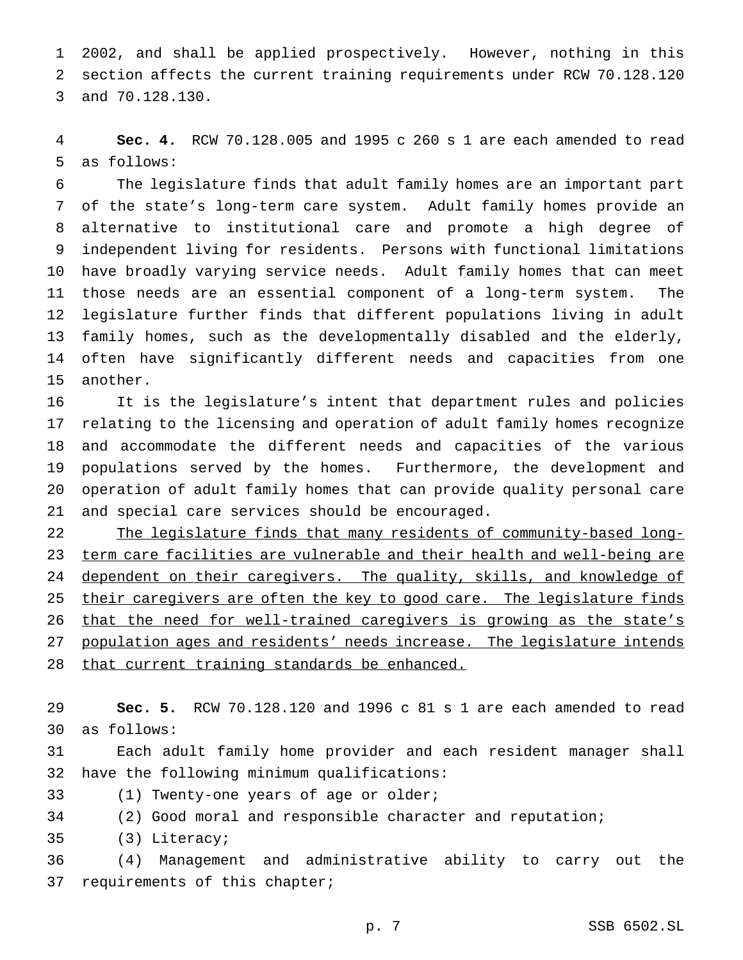2002, and shall be applied prospectively. However, nothing in this section affects the current training requirements under RCW 70.128.120 and 70.128.130.

 **Sec. 4.** RCW 70.128.005 and 1995 c 260 s 1 are each amended to read as follows:

 The legislature finds that adult family homes are an important part of the state's long-term care system. Adult family homes provide an alternative to institutional care and promote a high degree of independent living for residents. Persons with functional limitations have broadly varying service needs. Adult family homes that can meet those needs are an essential component of a long-term system. The legislature further finds that different populations living in adult family homes, such as the developmentally disabled and the elderly, often have significantly different needs and capacities from one another.

 It is the legislature's intent that department rules and policies relating to the licensing and operation of adult family homes recognize and accommodate the different needs and capacities of the various populations served by the homes. Furthermore, the development and operation of adult family homes that can provide quality personal care and special care services should be encouraged.

 The legislature finds that many residents of community-based long- term care facilities are vulnerable and their health and well-being are 24 dependent on their caregivers. The quality, skills, and knowledge of 25 their caregivers are often the key to good care. The legislature finds 26 that the need for well-trained caregivers is growing as the state's population ages and residents' needs increase. The legislature intends 28 that current training standards be enhanced.

 **Sec. 5.** RCW 70.128.120 and 1996 c 81 s 1 are each amended to read as follows:

 Each adult family home provider and each resident manager shall have the following minimum qualifications:

(1) Twenty-one years of age or older;

(2) Good moral and responsible character and reputation;

(3) Literacy;

 (4) Management and administrative ability to carry out the requirements of this chapter;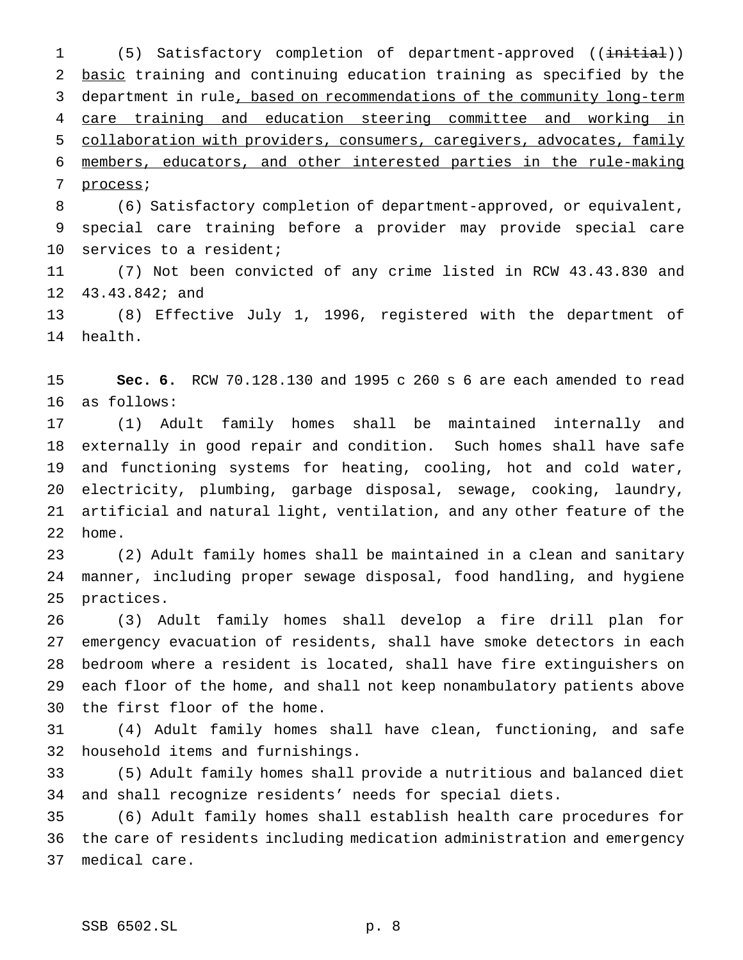1 (5) Satisfactory completion of department-approved ((initial)) basic training and continuing education training as specified by the 3 department in rule, based on recommendations of the community long-term care training and education steering committee and working in collaboration with providers, consumers, caregivers, advocates, family members, educators, and other interested parties in the rule-making process;

 (6) Satisfactory completion of department-approved, or equivalent, special care training before a provider may provide special care services to a resident;

 (7) Not been convicted of any crime listed in RCW 43.43.830 and 43.43.842; and

 (8) Effective July 1, 1996, registered with the department of health.

 **Sec. 6.** RCW 70.128.130 and 1995 c 260 s 6 are each amended to read as follows:

 (1) Adult family homes shall be maintained internally and externally in good repair and condition. Such homes shall have safe and functioning systems for heating, cooling, hot and cold water, electricity, plumbing, garbage disposal, sewage, cooking, laundry, artificial and natural light, ventilation, and any other feature of the home.

 (2) Adult family homes shall be maintained in a clean and sanitary manner, including proper sewage disposal, food handling, and hygiene practices.

 (3) Adult family homes shall develop a fire drill plan for emergency evacuation of residents, shall have smoke detectors in each bedroom where a resident is located, shall have fire extinguishers on each floor of the home, and shall not keep nonambulatory patients above the first floor of the home.

 (4) Adult family homes shall have clean, functioning, and safe household items and furnishings.

 (5) Adult family homes shall provide a nutritious and balanced diet and shall recognize residents' needs for special diets.

 (6) Adult family homes shall establish health care procedures for the care of residents including medication administration and emergency medical care.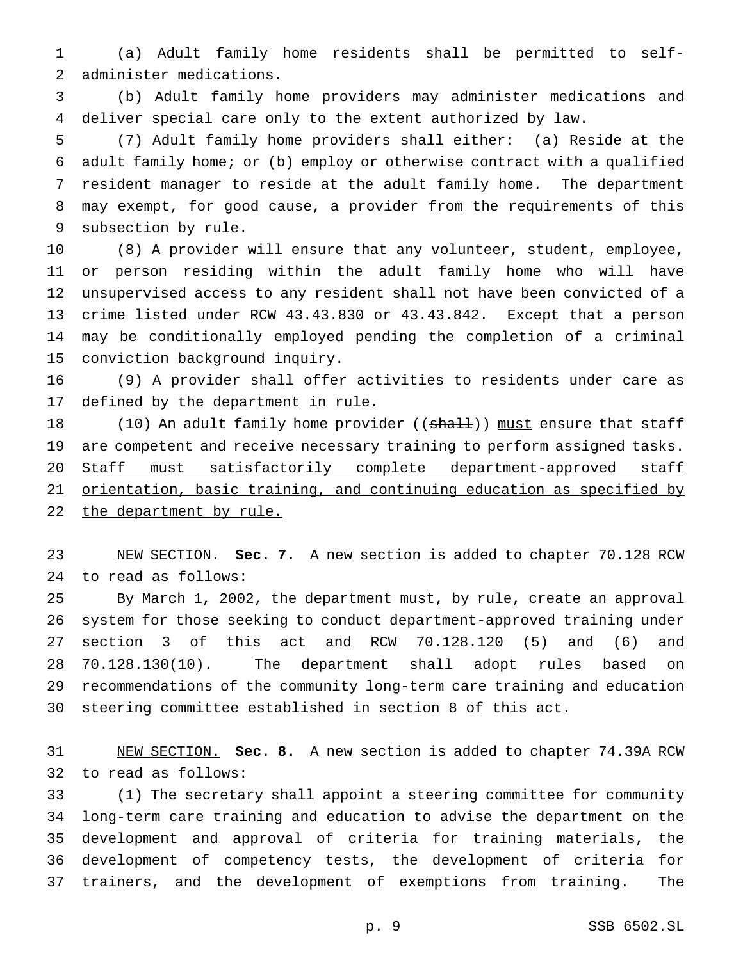(a) Adult family home residents shall be permitted to self-administer medications.

 (b) Adult family home providers may administer medications and deliver special care only to the extent authorized by law.

 (7) Adult family home providers shall either: (a) Reside at the adult family home; or (b) employ or otherwise contract with a qualified resident manager to reside at the adult family home. The department may exempt, for good cause, a provider from the requirements of this subsection by rule.

 (8) A provider will ensure that any volunteer, student, employee, or person residing within the adult family home who will have unsupervised access to any resident shall not have been convicted of a crime listed under RCW 43.43.830 or 43.43.842. Except that a person may be conditionally employed pending the completion of a criminal conviction background inquiry.

 (9) A provider shall offer activities to residents under care as defined by the department in rule.

18 (10) An adult family home provider ((shall)) must ensure that staff are competent and receive necessary training to perform assigned tasks. 20 Staff must satisfactorily complete department-approved staff orientation, basic training, and continuing education as specified by 22 the department by rule.

 NEW SECTION. **Sec. 7.** A new section is added to chapter 70.128 RCW to read as follows:

 By March 1, 2002, the department must, by rule, create an approval system for those seeking to conduct department-approved training under section 3 of this act and RCW 70.128.120 (5) and (6) and 70.128.130(10). The department shall adopt rules based on recommendations of the community long-term care training and education steering committee established in section 8 of this act.

 NEW SECTION. **Sec. 8.** A new section is added to chapter 74.39A RCW to read as follows:

 (1) The secretary shall appoint a steering committee for community long-term care training and education to advise the department on the development and approval of criteria for training materials, the development of competency tests, the development of criteria for trainers, and the development of exemptions from training. The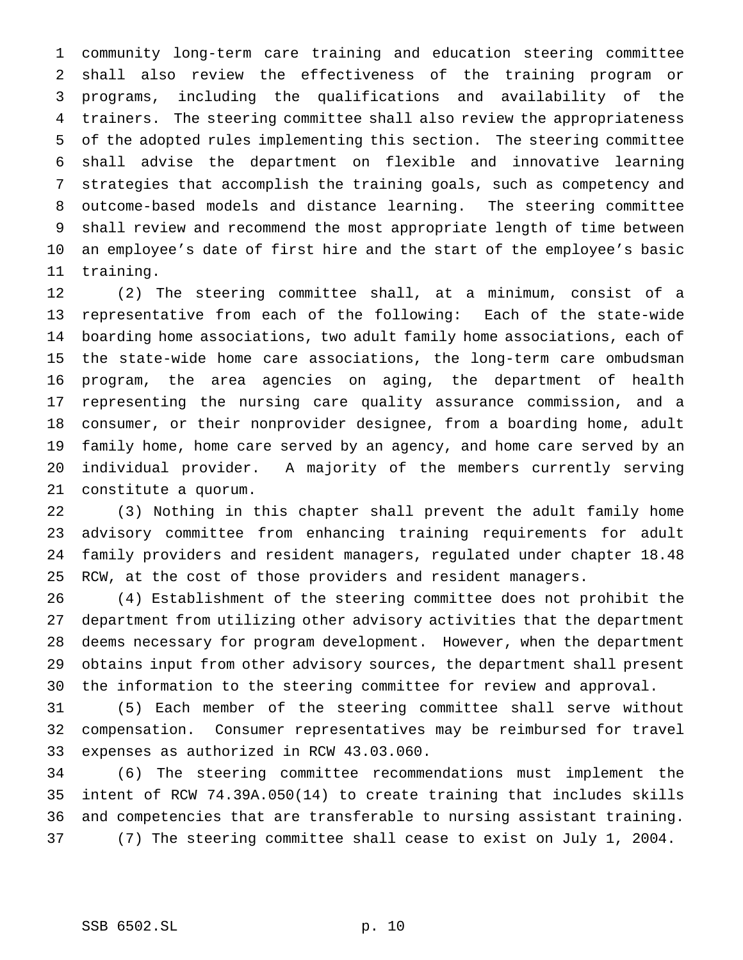community long-term care training and education steering committee shall also review the effectiveness of the training program or programs, including the qualifications and availability of the trainers. The steering committee shall also review the appropriateness of the adopted rules implementing this section. The steering committee shall advise the department on flexible and innovative learning strategies that accomplish the training goals, such as competency and outcome-based models and distance learning. The steering committee shall review and recommend the most appropriate length of time between an employee's date of first hire and the start of the employee's basic training.

 (2) The steering committee shall, at a minimum, consist of a representative from each of the following: Each of the state-wide boarding home associations, two adult family home associations, each of the state-wide home care associations, the long-term care ombudsman program, the area agencies on aging, the department of health representing the nursing care quality assurance commission, and a consumer, or their nonprovider designee, from a boarding home, adult family home, home care served by an agency, and home care served by an individual provider. A majority of the members currently serving constitute a quorum.

 (3) Nothing in this chapter shall prevent the adult family home advisory committee from enhancing training requirements for adult family providers and resident managers, regulated under chapter 18.48 RCW, at the cost of those providers and resident managers.

 (4) Establishment of the steering committee does not prohibit the department from utilizing other advisory activities that the department deems necessary for program development. However, when the department obtains input from other advisory sources, the department shall present the information to the steering committee for review and approval.

 (5) Each member of the steering committee shall serve without compensation. Consumer representatives may be reimbursed for travel expenses as authorized in RCW 43.03.060.

 (6) The steering committee recommendations must implement the intent of RCW 74.39A.050(14) to create training that includes skills and competencies that are transferable to nursing assistant training. (7) The steering committee shall cease to exist on July 1, 2004.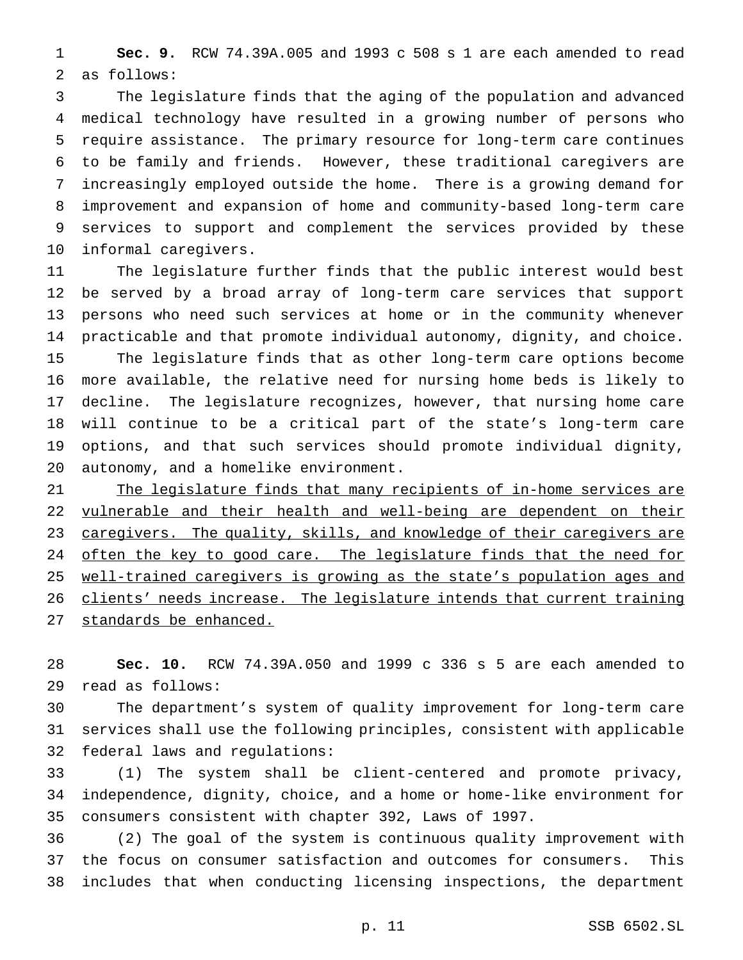**Sec. 9.** RCW 74.39A.005 and 1993 c 508 s 1 are each amended to read as follows:

 The legislature finds that the aging of the population and advanced medical technology have resulted in a growing number of persons who require assistance. The primary resource for long-term care continues to be family and friends. However, these traditional caregivers are increasingly employed outside the home. There is a growing demand for improvement and expansion of home and community-based long-term care services to support and complement the services provided by these informal caregivers.

 The legislature further finds that the public interest would best be served by a broad array of long-term care services that support persons who need such services at home or in the community whenever practicable and that promote individual autonomy, dignity, and choice. The legislature finds that as other long-term care options become more available, the relative need for nursing home beds is likely to decline. The legislature recognizes, however, that nursing home care will continue to be a critical part of the state's long-term care options, and that such services should promote individual dignity, autonomy, and a homelike environment.

21 The legislature finds that many recipients of in-home services are 22 vulnerable and their health and well-being are dependent on their caregivers. The quality, skills, and knowledge of their caregivers are 24 often the key to good care. The legislature finds that the need for well-trained caregivers is growing as the state's population ages and 26 clients' needs increase. The legislature intends that current training standards be enhanced.

 **Sec. 10.** RCW 74.39A.050 and 1999 c 336 s 5 are each amended to read as follows:

 The department's system of quality improvement for long-term care services shall use the following principles, consistent with applicable federal laws and regulations:

 (1) The system shall be client-centered and promote privacy, independence, dignity, choice, and a home or home-like environment for consumers consistent with chapter 392, Laws of 1997.

 (2) The goal of the system is continuous quality improvement with the focus on consumer satisfaction and outcomes for consumers. This includes that when conducting licensing inspections, the department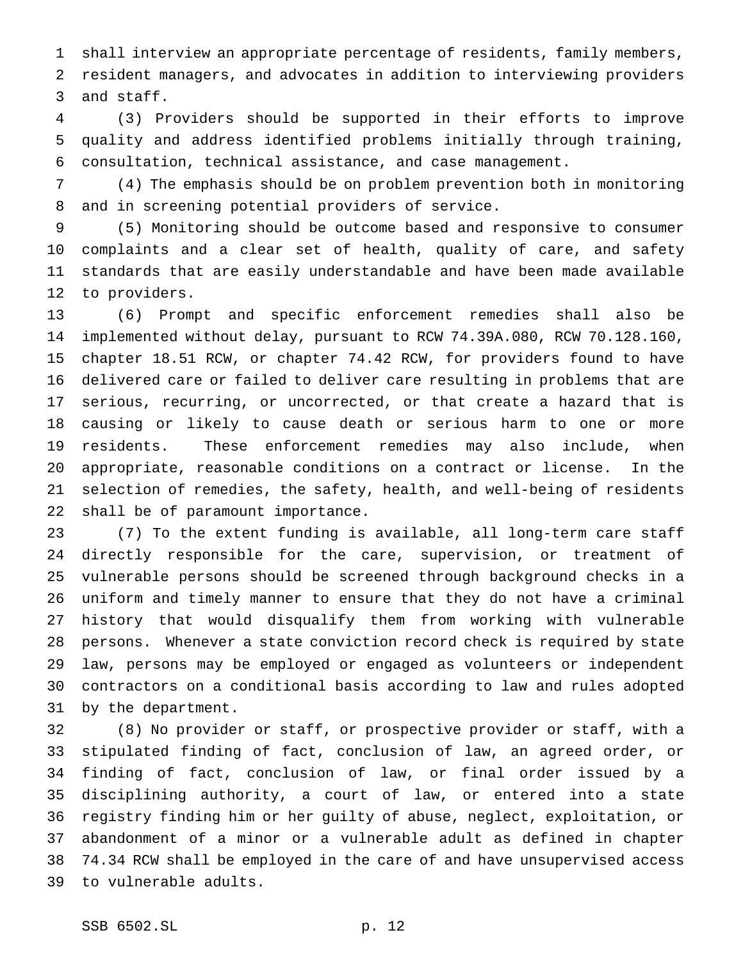shall interview an appropriate percentage of residents, family members, resident managers, and advocates in addition to interviewing providers and staff.

 (3) Providers should be supported in their efforts to improve quality and address identified problems initially through training, consultation, technical assistance, and case management.

 (4) The emphasis should be on problem prevention both in monitoring and in screening potential providers of service.

 (5) Monitoring should be outcome based and responsive to consumer complaints and a clear set of health, quality of care, and safety standards that are easily understandable and have been made available to providers.

 (6) Prompt and specific enforcement remedies shall also be implemented without delay, pursuant to RCW 74.39A.080, RCW 70.128.160, chapter 18.51 RCW, or chapter 74.42 RCW, for providers found to have delivered care or failed to deliver care resulting in problems that are serious, recurring, or uncorrected, or that create a hazard that is causing or likely to cause death or serious harm to one or more residents. These enforcement remedies may also include, when appropriate, reasonable conditions on a contract or license. In the selection of remedies, the safety, health, and well-being of residents shall be of paramount importance.

 (7) To the extent funding is available, all long-term care staff directly responsible for the care, supervision, or treatment of vulnerable persons should be screened through background checks in a uniform and timely manner to ensure that they do not have a criminal history that would disqualify them from working with vulnerable persons. Whenever a state conviction record check is required by state law, persons may be employed or engaged as volunteers or independent contractors on a conditional basis according to law and rules adopted by the department.

 (8) No provider or staff, or prospective provider or staff, with a stipulated finding of fact, conclusion of law, an agreed order, or finding of fact, conclusion of law, or final order issued by a disciplining authority, a court of law, or entered into a state registry finding him or her guilty of abuse, neglect, exploitation, or abandonment of a minor or a vulnerable adult as defined in chapter 74.34 RCW shall be employed in the care of and have unsupervised access to vulnerable adults.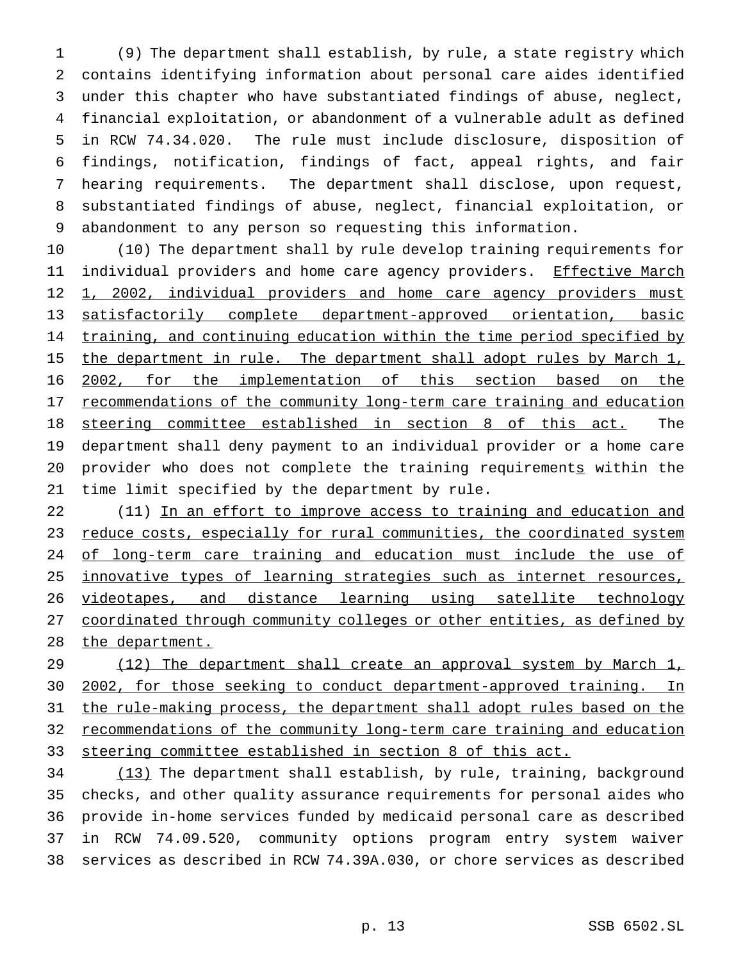(9) The department shall establish, by rule, a state registry which contains identifying information about personal care aides identified under this chapter who have substantiated findings of abuse, neglect, financial exploitation, or abandonment of a vulnerable adult as defined in RCW 74.34.020. The rule must include disclosure, disposition of findings, notification, findings of fact, appeal rights, and fair hearing requirements. The department shall disclose, upon request, substantiated findings of abuse, neglect, financial exploitation, or abandonment to any person so requesting this information.

 (10) The department shall by rule develop training requirements for 11 individual providers and home care agency providers. Effective March 12 1, 2002, individual providers and home care agency providers must satisfactorily complete department-approved orientation, basic 14 training, and continuing education within the time period specified by 15 the department in rule. The department shall adopt rules by March 1, 2002, for the implementation of this section based on the 17 recommendations of the community long-term care training and education steering committee established in section 8 of this act. The department shall deny payment to an individual provider or a home care provider who does not complete the training requirements within the time limit specified by the department by rule.

22 (11) In an effort to improve access to training and education and 23 reduce costs, especially for rural communities, the coordinated system 24 of long-term care training and education must include the use of 25 innovative types of learning strategies such as internet resources, videotapes, and distance learning using satellite technology coordinated through community colleges or other entities, as defined by 28 the department.

29 (12) The department shall create an approval system by March 1, 2002, for those seeking to conduct department-approved training. In the rule-making process, the department shall adopt rules based on the recommendations of the community long-term care training and education steering committee established in section 8 of this act.

34 (13) The department shall establish, by rule, training, background checks, and other quality assurance requirements for personal aides who provide in-home services funded by medicaid personal care as described in RCW 74.09.520, community options program entry system waiver services as described in RCW 74.39A.030, or chore services as described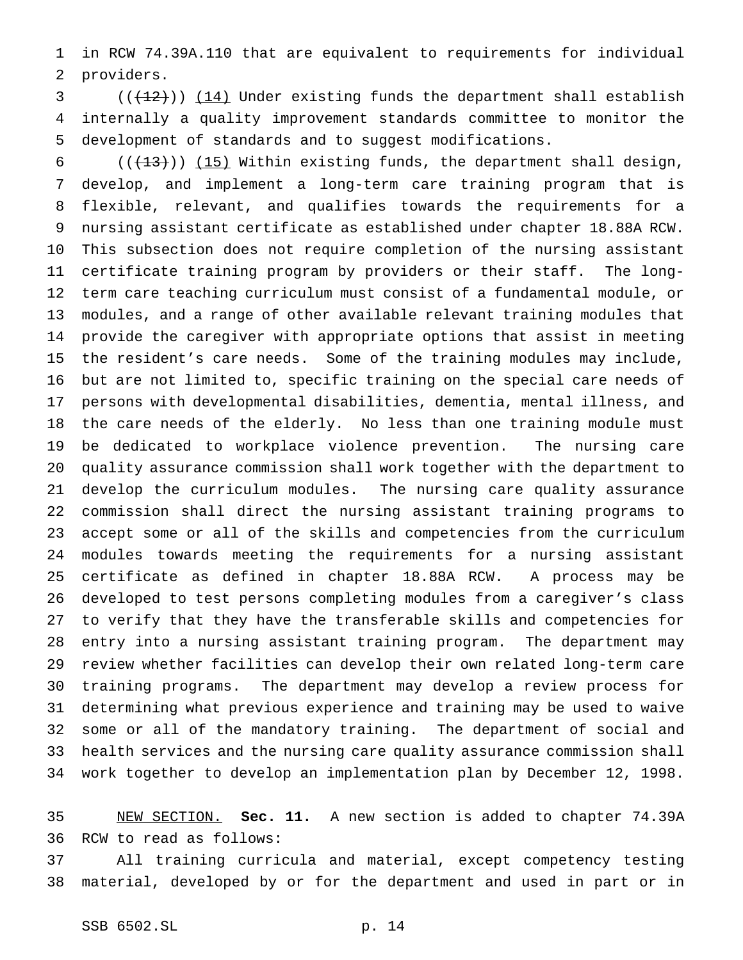in RCW 74.39A.110 that are equivalent to requirements for individual providers.

 ( $(\frac{12}{12})$ ) (14) Under existing funds the department shall establish internally a quality improvement standards committee to monitor the development of standards and to suggest modifications.

 $((+13))$  (15) Within existing funds, the department shall design, develop, and implement a long-term care training program that is flexible, relevant, and qualifies towards the requirements for a nursing assistant certificate as established under chapter 18.88A RCW. This subsection does not require completion of the nursing assistant certificate training program by providers or their staff. The long- term care teaching curriculum must consist of a fundamental module, or modules, and a range of other available relevant training modules that provide the caregiver with appropriate options that assist in meeting the resident's care needs. Some of the training modules may include, but are not limited to, specific training on the special care needs of persons with developmental disabilities, dementia, mental illness, and the care needs of the elderly. No less than one training module must be dedicated to workplace violence prevention. The nursing care quality assurance commission shall work together with the department to develop the curriculum modules. The nursing care quality assurance commission shall direct the nursing assistant training programs to accept some or all of the skills and competencies from the curriculum modules towards meeting the requirements for a nursing assistant certificate as defined in chapter 18.88A RCW. A process may be developed to test persons completing modules from a caregiver's class to verify that they have the transferable skills and competencies for entry into a nursing assistant training program. The department may review whether facilities can develop their own related long-term care training programs. The department may develop a review process for determining what previous experience and training may be used to waive some or all of the mandatory training. The department of social and health services and the nursing care quality assurance commission shall work together to develop an implementation plan by December 12, 1998.

 NEW SECTION. **Sec. 11.** A new section is added to chapter 74.39A RCW to read as follows:

 All training curricula and material, except competency testing material, developed by or for the department and used in part or in